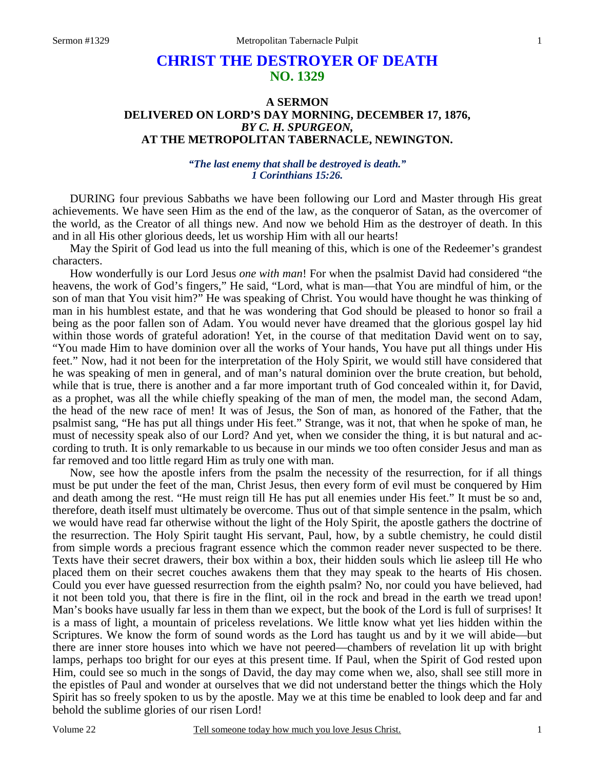# **CHRIST THE DESTROYER OF DEATH NO. 1329**

## **A SERMON DELIVERED ON LORD'S DAY MORNING, DECEMBER 17, 1876,** *BY C. H. SPURGEON,*  **AT THE METROPOLITAN TABERNACLE, NEWINGTON.**

*"The last enemy that shall be destroyed is death." 1 Corinthians 15:26.* 

DURING four previous Sabbaths we have been following our Lord and Master through His great achievements. We have seen Him as the end of the law, as the conqueror of Satan, as the overcomer of the world, as the Creator of all things new. And now we behold Him as the destroyer of death. In this and in all His other glorious deeds, let us worship Him with all our hearts!

 May the Spirit of God lead us into the full meaning of this, which is one of the Redeemer's grandest characters.

 How wonderfully is our Lord Jesus *one with man*! For when the psalmist David had considered "the heavens, the work of God's fingers," He said, "Lord, what is man—that You are mindful of him, or the son of man that You visit him?" He was speaking of Christ. You would have thought he was thinking of man in his humblest estate, and that he was wondering that God should be pleased to honor so frail a being as the poor fallen son of Adam. You would never have dreamed that the glorious gospel lay hid within those words of grateful adoration! Yet, in the course of that meditation David went on to say, "You made Him to have dominion over all the works of Your hands, You have put all things under His feet." Now, had it not been for the interpretation of the Holy Spirit, we would still have considered that he was speaking of men in general, and of man's natural dominion over the brute creation, but behold, while that is true, there is another and a far more important truth of God concealed within it, for David, as a prophet, was all the while chiefly speaking of the man of men, the model man, the second Adam, the head of the new race of men! It was of Jesus, the Son of man, as honored of the Father, that the psalmist sang, "He has put all things under His feet." Strange, was it not, that when he spoke of man, he must of necessity speak also of our Lord? And yet, when we consider the thing, it is but natural and according to truth. It is only remarkable to us because in our minds we too often consider Jesus and man as far removed and too little regard Him as truly one with man.

 Now, see how the apostle infers from the psalm the necessity of the resurrection, for if all things must be put under the feet of the man, Christ Jesus, then every form of evil must be conquered by Him and death among the rest. "He must reign till He has put all enemies under His feet." It must be so and, therefore, death itself must ultimately be overcome. Thus out of that simple sentence in the psalm, which we would have read far otherwise without the light of the Holy Spirit, the apostle gathers the doctrine of the resurrection. The Holy Spirit taught His servant, Paul, how, by a subtle chemistry, he could distil from simple words a precious fragrant essence which the common reader never suspected to be there. Texts have their secret drawers, their box within a box, their hidden souls which lie asleep till He who placed them on their secret couches awakens them that they may speak to the hearts of His chosen. Could you ever have guessed resurrection from the eighth psalm? No, nor could you have believed, had it not been told you, that there is fire in the flint, oil in the rock and bread in the earth we tread upon! Man's books have usually far less in them than we expect, but the book of the Lord is full of surprises! It is a mass of light, a mountain of priceless revelations. We little know what yet lies hidden within the Scriptures. We know the form of sound words as the Lord has taught us and by it we will abide—but there are inner store houses into which we have not peered—chambers of revelation lit up with bright lamps, perhaps too bright for our eyes at this present time. If Paul, when the Spirit of God rested upon Him, could see so much in the songs of David, the day may come when we, also, shall see still more in the epistles of Paul and wonder at ourselves that we did not understand better the things which the Holy Spirit has so freely spoken to us by the apostle. May we at this time be enabled to look deep and far and behold the sublime glories of our risen Lord!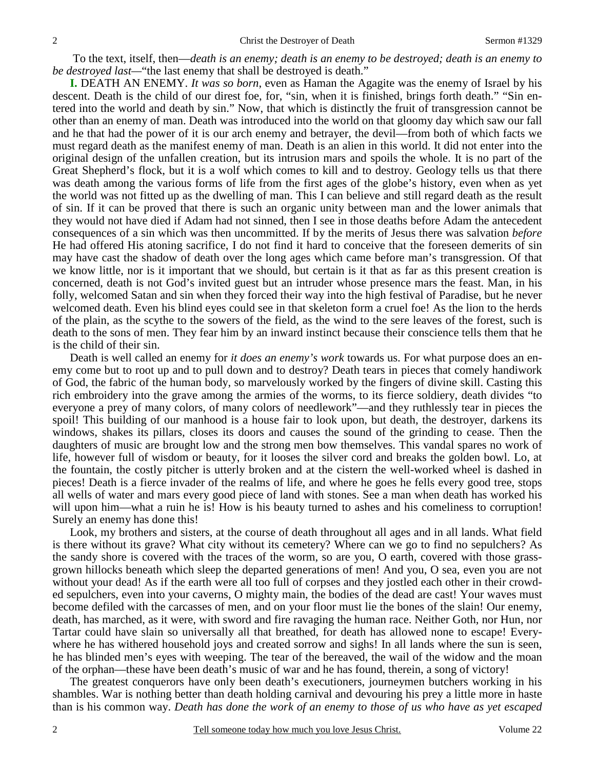To the text, itself, then—*death is an enemy; death is an enemy to be destroyed; death is an enemy to be destroyed last—*"the last enemy that shall be destroyed is death."

**I.** DEATH AN ENEMY. *It was so born*, even as Haman the Agagite was the enemy of Israel by his descent. Death is the child of our direst foe, for, "sin, when it is finished, brings forth death." "Sin entered into the world and death by sin." Now, that which is distinctly the fruit of transgression cannot be other than an enemy of man. Death was introduced into the world on that gloomy day which saw our fall and he that had the power of it is our arch enemy and betrayer, the devil—from both of which facts we must regard death as the manifest enemy of man. Death is an alien in this world. It did not enter into the original design of the unfallen creation, but its intrusion mars and spoils the whole. It is no part of the Great Shepherd's flock, but it is a wolf which comes to kill and to destroy. Geology tells us that there was death among the various forms of life from the first ages of the globe's history, even when as yet the world was not fitted up as the dwelling of man. This I can believe and still regard death as the result of sin. If it can be proved that there is such an organic unity between man and the lower animals that they would not have died if Adam had not sinned, then I see in those deaths before Adam the antecedent consequences of a sin which was then uncommitted. If by the merits of Jesus there was salvation *before* He had offered His atoning sacrifice, I do not find it hard to conceive that the foreseen demerits of sin may have cast the shadow of death over the long ages which came before man's transgression. Of that we know little, nor is it important that we should, but certain is it that as far as this present creation is concerned, death is not God's invited guest but an intruder whose presence mars the feast. Man, in his folly, welcomed Satan and sin when they forced their way into the high festival of Paradise, but he never welcomed death. Even his blind eyes could see in that skeleton form a cruel foe! As the lion to the herds of the plain, as the scythe to the sowers of the field, as the wind to the sere leaves of the forest, such is death to the sons of men. They fear him by an inward instinct because their conscience tells them that he is the child of their sin.

 Death is well called an enemy for *it does an enemy's work* towards us. For what purpose does an enemy come but to root up and to pull down and to destroy? Death tears in pieces that comely handiwork of God, the fabric of the human body, so marvelously worked by the fingers of divine skill. Casting this rich embroidery into the grave among the armies of the worms, to its fierce soldiery, death divides "to everyone a prey of many colors, of many colors of needlework"—and they ruthlessly tear in pieces the spoil! This building of our manhood is a house fair to look upon, but death, the destroyer, darkens its windows, shakes its pillars, closes its doors and causes the sound of the grinding to cease. Then the daughters of music are brought low and the strong men bow themselves. This vandal spares no work of life, however full of wisdom or beauty, for it looses the silver cord and breaks the golden bowl. Lo, at the fountain, the costly pitcher is utterly broken and at the cistern the well-worked wheel is dashed in pieces! Death is a fierce invader of the realms of life, and where he goes he fells every good tree, stops all wells of water and mars every good piece of land with stones. See a man when death has worked his will upon him—what a ruin he is! How is his beauty turned to ashes and his comeliness to corruption! Surely an enemy has done this!

 Look, my brothers and sisters, at the course of death throughout all ages and in all lands. What field is there without its grave? What city without its cemetery? Where can we go to find no sepulchers? As the sandy shore is covered with the traces of the worm, so are you, O earth, covered with those grassgrown hillocks beneath which sleep the departed generations of men! And you, O sea, even you are not without your dead! As if the earth were all too full of corpses and they jostled each other in their crowded sepulchers, even into your caverns, O mighty main, the bodies of the dead are cast! Your waves must become defiled with the carcasses of men, and on your floor must lie the bones of the slain! Our enemy, death, has marched, as it were, with sword and fire ravaging the human race. Neither Goth, nor Hun, nor Tartar could have slain so universally all that breathed, for death has allowed none to escape! Everywhere he has withered household joys and created sorrow and sighs! In all lands where the sun is seen, he has blinded men's eyes with weeping. The tear of the bereaved, the wail of the widow and the moan of the orphan—these have been death's music of war and he has found, therein, a song of victory!

 The greatest conquerors have only been death's executioners, journeymen butchers working in his shambles. War is nothing better than death holding carnival and devouring his prey a little more in haste than is his common way. *Death has done the work of an enemy to those of us who have as yet escaped*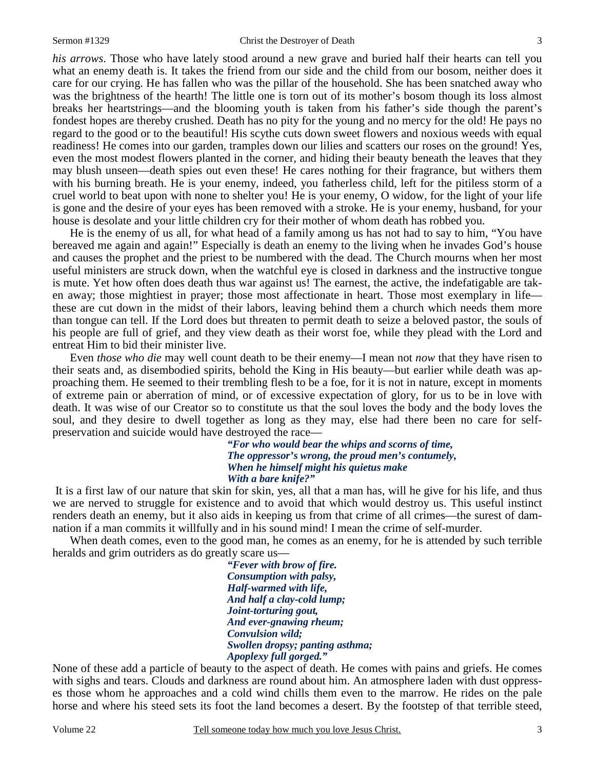*his arrows*. Those who have lately stood around a new grave and buried half their hearts can tell you what an enemy death is. It takes the friend from our side and the child from our bosom, neither does it care for our crying. He has fallen who was the pillar of the household. She has been snatched away who was the brightness of the hearth! The little one is torn out of its mother's bosom though its loss almost breaks her heartstrings—and the blooming youth is taken from his father's side though the parent's fondest hopes are thereby crushed. Death has no pity for the young and no mercy for the old! He pays no regard to the good or to the beautiful! His scythe cuts down sweet flowers and noxious weeds with equal readiness! He comes into our garden, tramples down our lilies and scatters our roses on the ground! Yes, even the most modest flowers planted in the corner, and hiding their beauty beneath the leaves that they may blush unseen—death spies out even these! He cares nothing for their fragrance, but withers them with his burning breath. He is your enemy, indeed, you fatherless child, left for the pitiless storm of a cruel world to beat upon with none to shelter you! He is your enemy, O widow, for the light of your life is gone and the desire of your eyes has been removed with a stroke. He is your enemy, husband, for your house is desolate and your little children cry for their mother of whom death has robbed you.

 He is the enemy of us all, for what head of a family among us has not had to say to him, "You have bereaved me again and again!" Especially is death an enemy to the living when he invades God's house and causes the prophet and the priest to be numbered with the dead. The Church mourns when her most useful ministers are struck down, when the watchful eye is closed in darkness and the instructive tongue is mute. Yet how often does death thus war against us! The earnest, the active, the indefatigable are taken away; those mightiest in prayer; those most affectionate in heart. Those most exemplary in life these are cut down in the midst of their labors, leaving behind them a church which needs them more than tongue can tell. If the Lord does but threaten to permit death to seize a beloved pastor, the souls of his people are full of grief, and they view death as their worst foe, while they plead with the Lord and entreat Him to bid their minister live.

 Even *those who die* may well count death to be their enemy—I mean not *now* that they have risen to their seats and, as disembodied spirits, behold the King in His beauty—but earlier while death was approaching them. He seemed to their trembling flesh to be a foe, for it is not in nature, except in moments of extreme pain or aberration of mind, or of excessive expectation of glory, for us to be in love with death. It was wise of our Creator so to constitute us that the soul loves the body and the body loves the soul, and they desire to dwell together as long as they may, else had there been no care for selfpreservation and suicide would have destroyed the race—

> *"For who would bear the whips and scorns of time, The oppressor's wrong, the proud men's contumely, When he himself might his quietus make With a bare knife?"*

It is a first law of our nature that skin for skin, yes, all that a man has, will he give for his life, and thus we are nerved to struggle for existence and to avoid that which would destroy us. This useful instinct renders death an enemy, but it also aids in keeping us from that crime of all crimes—the surest of damnation if a man commits it willfully and in his sound mind! I mean the crime of self-murder.

 When death comes, even to the good man, he comes as an enemy, for he is attended by such terrible heralds and grim outriders as do greatly scare us—

> *"Fever with brow of fire. Consumption with palsy, Half-warmed with life, And half a clay-cold lump; Joint-torturing gout, And ever-gnawing rheum; Convulsion wild; Swollen dropsy; panting asthma; Apoplexy full gorged."*

None of these add a particle of beauty to the aspect of death. He comes with pains and griefs. He comes with sighs and tears. Clouds and darkness are round about him. An atmosphere laden with dust oppresses those whom he approaches and a cold wind chills them even to the marrow. He rides on the pale horse and where his steed sets its foot the land becomes a desert. By the footstep of that terrible steed,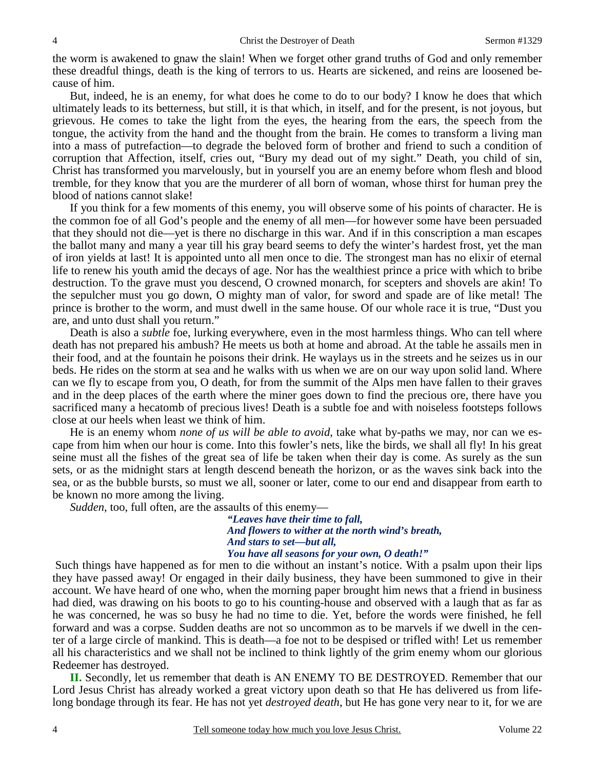the worm is awakened to gnaw the slain! When we forget other grand truths of God and only remember these dreadful things, death is the king of terrors to us. Hearts are sickened, and reins are loosened because of him.

 But, indeed, he is an enemy, for what does he come to do to our body? I know he does that which ultimately leads to its betterness, but still, it is that which, in itself, and for the present, is not joyous, but grievous. He comes to take the light from the eyes, the hearing from the ears, the speech from the tongue, the activity from the hand and the thought from the brain. He comes to transform a living man into a mass of putrefaction—to degrade the beloved form of brother and friend to such a condition of corruption that Affection, itself, cries out, "Bury my dead out of my sight." Death, you child of sin, Christ has transformed you marvelously, but in yourself you are an enemy before whom flesh and blood tremble, for they know that you are the murderer of all born of woman, whose thirst for human prey the blood of nations cannot slake!

 If you think for a few moments of this enemy, you will observe some of his points of character. He is the common foe of all God's people and the enemy of all men—for however some have been persuaded that they should not die—yet is there no discharge in this war. And if in this conscription a man escapes the ballot many and many a year till his gray beard seems to defy the winter's hardest frost, yet the man of iron yields at last! It is appointed unto all men once to die. The strongest man has no elixir of eternal life to renew his youth amid the decays of age. Nor has the wealthiest prince a price with which to bribe destruction. To the grave must you descend, O crowned monarch, for scepters and shovels are akin! To the sepulcher must you go down, O mighty man of valor, for sword and spade are of like metal! The prince is brother to the worm, and must dwell in the same house. Of our whole race it is true, "Dust you are, and unto dust shall you return."

 Death is also a *subtle* foe, lurking everywhere, even in the most harmless things. Who can tell where death has not prepared his ambush? He meets us both at home and abroad. At the table he assails men in their food, and at the fountain he poisons their drink. He waylays us in the streets and he seizes us in our beds. He rides on the storm at sea and he walks with us when we are on our way upon solid land. Where can we fly to escape from you, O death, for from the summit of the Alps men have fallen to their graves and in the deep places of the earth where the miner goes down to find the precious ore, there have you sacrificed many a hecatomb of precious lives! Death is a subtle foe and with noiseless footsteps follows close at our heels when least we think of him.

 He is an enemy whom *none of us will be able to avoid*, take what by-paths we may, nor can we escape from him when our hour is come. Into this fowler's nets, like the birds, we shall all fly! In his great seine must all the fishes of the great sea of life be taken when their day is come. As surely as the sun sets, or as the midnight stars at length descend beneath the horizon, or as the waves sink back into the sea, or as the bubble bursts, so must we all, sooner or later, come to our end and disappear from earth to be known no more among the living.

*Sudden*, too, full often, are the assaults of this enemy—

*"Leaves have their time to fall, And flowers to wither at the north wind's breath, And stars to set—but all, You have all seasons for your own, O death!"* 

Such things have happened as for men to die without an instant's notice. With a psalm upon their lips they have passed away! Or engaged in their daily business, they have been summoned to give in their account. We have heard of one who, when the morning paper brought him news that a friend in business had died, was drawing on his boots to go to his counting-house and observed with a laugh that as far as he was concerned, he was so busy he had no time to die. Yet, before the words were finished, he fell forward and was a corpse. Sudden deaths are not so uncommon as to be marvels if we dwell in the center of a large circle of mankind. This is death—a foe not to be despised or trifled with! Let us remember all his characteristics and we shall not be inclined to think lightly of the grim enemy whom our glorious Redeemer has destroyed.

**II.** Secondly, let us remember that death is AN ENEMY TO BE DESTROYED. Remember that our Lord Jesus Christ has already worked a great victory upon death so that He has delivered us from lifelong bondage through its fear. He has not yet *destroyed death*, but He has gone very near to it, for we are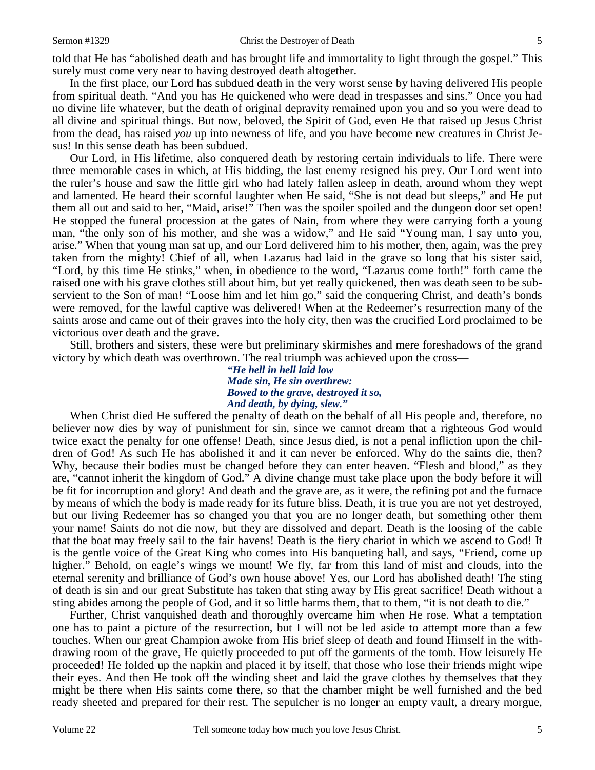told that He has "abolished death and has brought life and immortality to light through the gospel." This surely must come very near to having destroyed death altogether.

 In the first place, our Lord has subdued death in the very worst sense by having delivered His people from spiritual death. "And you has He quickened who were dead in trespasses and sins." Once you had no divine life whatever, but the death of original depravity remained upon you and so you were dead to all divine and spiritual things. But now, beloved, the Spirit of God, even He that raised up Jesus Christ from the dead, has raised *you* up into newness of life, and you have become new creatures in Christ Jesus! In this sense death has been subdued.

 Our Lord, in His lifetime, also conquered death by restoring certain individuals to life. There were three memorable cases in which, at His bidding, the last enemy resigned his prey. Our Lord went into the ruler's house and saw the little girl who had lately fallen asleep in death, around whom they wept and lamented. He heard their scornful laughter when He said, "She is not dead but sleeps," and He put them all out and said to her, "Maid, arise!" Then was the spoiler spoiled and the dungeon door set open! He stopped the funeral procession at the gates of Nain, from where they were carrying forth a young man, "the only son of his mother, and she was a widow," and He said "Young man, I say unto you, arise." When that young man sat up, and our Lord delivered him to his mother, then, again, was the prey taken from the mighty! Chief of all, when Lazarus had laid in the grave so long that his sister said, "Lord, by this time He stinks," when, in obedience to the word, "Lazarus come forth!" forth came the raised one with his grave clothes still about him, but yet really quickened, then was death seen to be subservient to the Son of man! "Loose him and let him go," said the conquering Christ, and death's bonds were removed, for the lawful captive was delivered! When at the Redeemer's resurrection many of the saints arose and came out of their graves into the holy city, then was the crucified Lord proclaimed to be victorious over death and the grave.

 Still, brothers and sisters, these were but preliminary skirmishes and mere foreshadows of the grand victory by which death was overthrown. The real triumph was achieved upon the cross—

> *"He hell in hell laid low Made sin, He sin overthrew: Bowed to the grave, destroyed it so, And death, by dying, slew."*

When Christ died He suffered the penalty of death on the behalf of all His people and, therefore, no believer now dies by way of punishment for sin, since we cannot dream that a righteous God would twice exact the penalty for one offense! Death, since Jesus died, is not a penal infliction upon the children of God! As such He has abolished it and it can never be enforced. Why do the saints die, then? Why, because their bodies must be changed before they can enter heaven. "Flesh and blood," as they are, "cannot inherit the kingdom of God." A divine change must take place upon the body before it will be fit for incorruption and glory! And death and the grave are, as it were, the refining pot and the furnace by means of which the body is made ready for its future bliss. Death, it is true you are not yet destroyed, but our living Redeemer has so changed you that you are no longer death, but something other them your name! Saints do not die now, but they are dissolved and depart. Death is the loosing of the cable that the boat may freely sail to the fair havens! Death is the fiery chariot in which we ascend to God! It is the gentle voice of the Great King who comes into His banqueting hall, and says, "Friend, come up higher." Behold, on eagle's wings we mount! We fly, far from this land of mist and clouds, into the eternal serenity and brilliance of God's own house above! Yes, our Lord has abolished death! The sting of death is sin and our great Substitute has taken that sting away by His great sacrifice! Death without a sting abides among the people of God, and it so little harms them, that to them, "it is not death to die."

 Further, Christ vanquished death and thoroughly overcame him when He rose. What a temptation one has to paint a picture of the resurrection, but I will not be led aside to attempt more than a few touches. When our great Champion awoke from His brief sleep of death and found Himself in the withdrawing room of the grave, He quietly proceeded to put off the garments of the tomb. How leisurely He proceeded! He folded up the napkin and placed it by itself, that those who lose their friends might wipe their eyes. And then He took off the winding sheet and laid the grave clothes by themselves that they might be there when His saints come there, so that the chamber might be well furnished and the bed ready sheeted and prepared for their rest. The sepulcher is no longer an empty vault, a dreary morgue,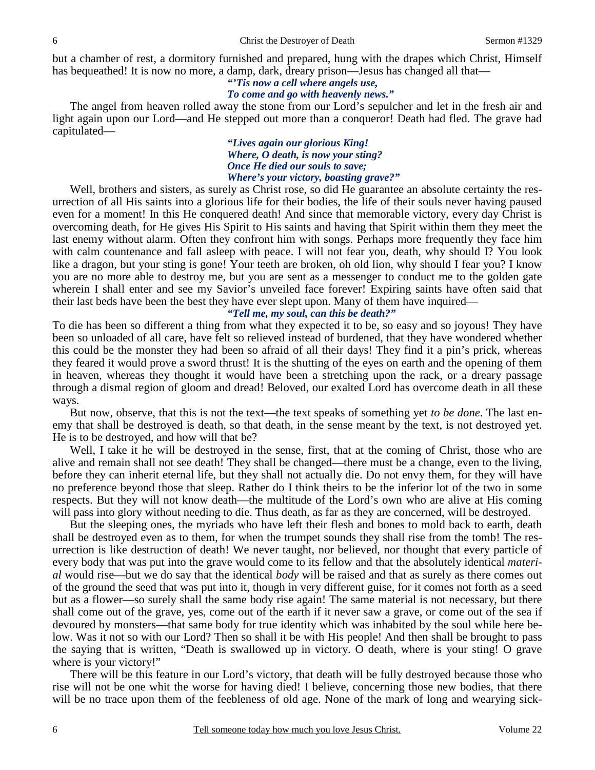but a chamber of rest, a dormitory furnished and prepared, hung with the drapes which Christ, Himself has bequeathed! It is now no more, a damp, dark, dreary prison—Jesus has changed all that—

# *"'Tis now a cell where angels use,*

*To come and go with heavenly news."* 

 The angel from heaven rolled away the stone from our Lord's sepulcher and let in the fresh air and light again upon our Lord—and He stepped out more than a conqueror! Death had fled. The grave had capitulated—

> *"Lives again our glorious King! Where, O death, is now your sting? Once He died our souls to save; Where's your victory, boasting grave?"*

 Well, brothers and sisters, as surely as Christ rose, so did He guarantee an absolute certainty the resurrection of all His saints into a glorious life for their bodies, the life of their souls never having paused even for a moment! In this He conquered death! And since that memorable victory, every day Christ is overcoming death, for He gives His Spirit to His saints and having that Spirit within them they meet the last enemy without alarm. Often they confront him with songs. Perhaps more frequently they face him with calm countenance and fall asleep with peace. I will not fear you, death, why should I? You look like a dragon, but your sting is gone! Your teeth are broken, oh old lion, why should I fear you? I know you are no more able to destroy me, but you are sent as a messenger to conduct me to the golden gate wherein I shall enter and see my Savior's unveiled face forever! Expiring saints have often said that their last beds have been the best they have ever slept upon. Many of them have inquired—

### *"Tell me, my soul, can this be death?"*

To die has been so different a thing from what they expected it to be, so easy and so joyous! They have been so unloaded of all care, have felt so relieved instead of burdened, that they have wondered whether this could be the monster they had been so afraid of all their days! They find it a pin's prick, whereas they feared it would prove a sword thrust! It is the shutting of the eyes on earth and the opening of them in heaven, whereas they thought it would have been a stretching upon the rack, or a dreary passage through a dismal region of gloom and dread! Beloved, our exalted Lord has overcome death in all these ways.

 But now, observe, that this is not the text—the text speaks of something yet *to be done*. The last enemy that shall be destroyed is death, so that death, in the sense meant by the text, is not destroyed yet. He is to be destroyed, and how will that be?

 Well, I take it he will be destroyed in the sense, first, that at the coming of Christ, those who are alive and remain shall not see death! They shall be changed—there must be a change, even to the living, before they can inherit eternal life, but they shall not actually die. Do not envy them, for they will have no preference beyond those that sleep. Rather do I think theirs to be the inferior lot of the two in some respects. But they will not know death—the multitude of the Lord's own who are alive at His coming will pass into glory without needing to die. Thus death, as far as they are concerned, will be destroyed.

 But the sleeping ones, the myriads who have left their flesh and bones to mold back to earth, death shall be destroyed even as to them, for when the trumpet sounds they shall rise from the tomb! The resurrection is like destruction of death! We never taught, nor believed, nor thought that every particle of every body that was put into the grave would come to its fellow and that the absolutely identical *material* would rise—but we do say that the identical *body* will be raised and that as surely as there comes out of the ground the seed that was put into it, though in very different guise, for it comes not forth as a seed but as a flower—so surely shall the same body rise again! The same material is not necessary, but there shall come out of the grave, yes, come out of the earth if it never saw a grave, or come out of the sea if devoured by monsters—that same body for true identity which was inhabited by the soul while here below. Was it not so with our Lord? Then so shall it be with His people! And then shall be brought to pass the saying that is written, "Death is swallowed up in victory. O death, where is your sting! O grave where is your victory!"

 There will be this feature in our Lord's victory, that death will be fully destroyed because those who rise will not be one whit the worse for having died! I believe, concerning those new bodies, that there will be no trace upon them of the feebleness of old age. None of the mark of long and wearying sick-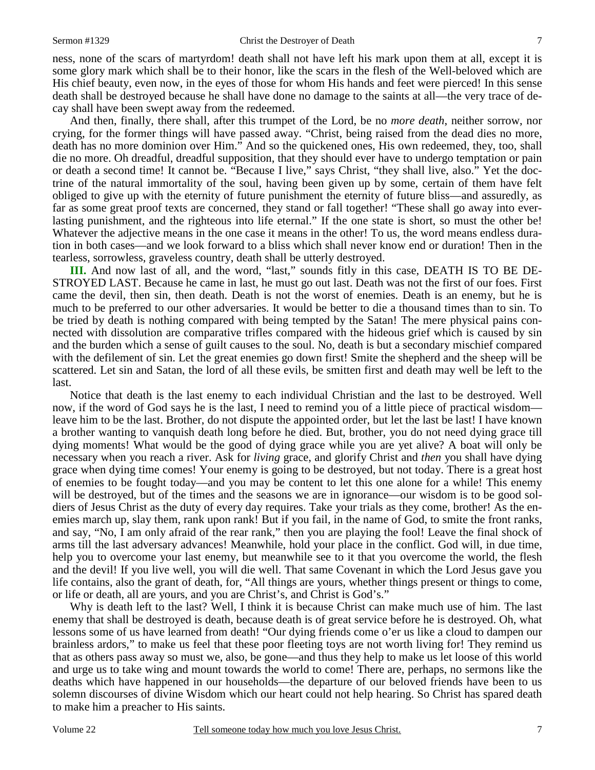7

ness, none of the scars of martyrdom! death shall not have left his mark upon them at all, except it is some glory mark which shall be to their honor, like the scars in the flesh of the Well-beloved which are His chief beauty, even now, in the eyes of those for whom His hands and feet were pierced! In this sense death shall be destroyed because he shall have done no damage to the saints at all—the very trace of decay shall have been swept away from the redeemed.

 And then, finally, there shall, after this trumpet of the Lord, be no *more death*, neither sorrow, nor crying, for the former things will have passed away. "Christ, being raised from the dead dies no more, death has no more dominion over Him." And so the quickened ones, His own redeemed, they, too, shall die no more. Oh dreadful, dreadful supposition, that they should ever have to undergo temptation or pain or death a second time! It cannot be. "Because I live," says Christ, "they shall live, also." Yet the doctrine of the natural immortality of the soul, having been given up by some, certain of them have felt obliged to give up with the eternity of future punishment the eternity of future bliss—and assuredly, as far as some great proof texts are concerned, they stand or fall together! "These shall go away into everlasting punishment, and the righteous into life eternal." If the one state is short, so must the other be! Whatever the adjective means in the one case it means in the other! To us, the word means endless duration in both cases—and we look forward to a bliss which shall never know end or duration! Then in the tearless, sorrowless, graveless country, death shall be utterly destroyed.

**III.** And now last of all, and the word, "last," sounds fitly in this case, DEATH IS TO BE DE-STROYED LAST. Because he came in last, he must go out last. Death was not the first of our foes. First came the devil, then sin, then death. Death is not the worst of enemies. Death is an enemy, but he is much to be preferred to our other adversaries. It would be better to die a thousand times than to sin. To be tried by death is nothing compared with being tempted by the Satan! The mere physical pains connected with dissolution are comparative trifles compared with the hideous grief which is caused by sin and the burden which a sense of guilt causes to the soul. No, death is but a secondary mischief compared with the defilement of sin. Let the great enemies go down first! Smite the shepherd and the sheep will be scattered. Let sin and Satan, the lord of all these evils, be smitten first and death may well be left to the last.

 Notice that death is the last enemy to each individual Christian and the last to be destroyed. Well now, if the word of God says he is the last, I need to remind you of a little piece of practical wisdom leave him to be the last. Brother, do not dispute the appointed order, but let the last be last! I have known a brother wanting to vanquish death long before he died. But, brother, you do not need dying grace till dying moments! What would be the good of dying grace while you are yet alive? A boat will only be necessary when you reach a river. Ask for *living* grace, and glorify Christ and *then* you shall have dying grace when dying time comes! Your enemy is going to be destroyed, but not today. There is a great host of enemies to be fought today—and you may be content to let this one alone for a while! This enemy will be destroyed, but of the times and the seasons we are in ignorance—our wisdom is to be good soldiers of Jesus Christ as the duty of every day requires. Take your trials as they come, brother! As the enemies march up, slay them, rank upon rank! But if you fail, in the name of God, to smite the front ranks, and say, "No, I am only afraid of the rear rank," then you are playing the fool! Leave the final shock of arms till the last adversary advances! Meanwhile, hold your place in the conflict. God will, in due time, help you to overcome your last enemy, but meanwhile see to it that you overcome the world, the flesh and the devil! If you live well, you will die well. That same Covenant in which the Lord Jesus gave you life contains, also the grant of death, for, "All things are yours, whether things present or things to come, or life or death, all are yours, and you are Christ's, and Christ is God's."

 Why is death left to the last? Well, I think it is because Christ can make much use of him. The last enemy that shall be destroyed is death, because death is of great service before he is destroyed. Oh, what lessons some of us have learned from death! "Our dying friends come o'er us like a cloud to dampen our brainless ardors," to make us feel that these poor fleeting toys are not worth living for! They remind us that as others pass away so must we, also, be gone—and thus they help to make us let loose of this world and urge us to take wing and mount towards the world to come! There are, perhaps, no sermons like the deaths which have happened in our households—the departure of our beloved friends have been to us solemn discourses of divine Wisdom which our heart could not help hearing. So Christ has spared death to make him a preacher to His saints.